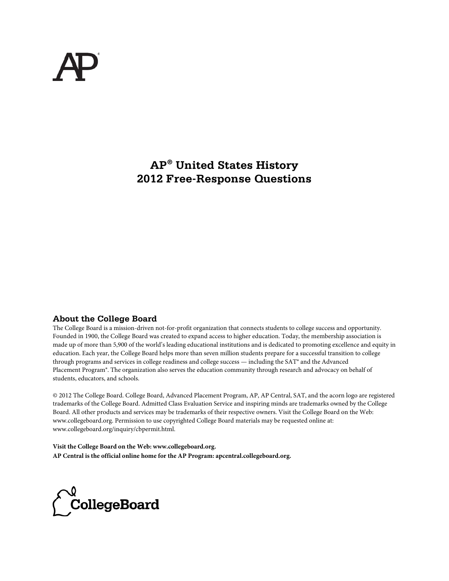# **AP® United States History 2012 Free-Response Questions**

#### **About the College Board**

The College Board is a mission-driven not-for-profit organization that connects students to college success and opportunity. Founded in 1900, the College Board was created to expand access to higher education. Today, the membership association is made up of more than 5,900 of the world's leading educational institutions and is dedicated to promoting excellence and equity in education. Each year, the College Board helps more than seven million students prepare for a successful transition to college through programs and services in college readiness and college success — including the SAT® and the Advanced Placement Program®. The organization also serves the education community through research and advocacy on behalf of students, educators, and schools.

© 2012 The College Board. College Board, Advanced Placement Program, AP, AP Central, SAT, and the acorn logo are registered trademarks of the College Board. Admitted Class Evaluation Service and inspiring minds are trademarks owned by the College Board. All other products and services may be trademarks of their respective owners. Visit the College Board on the Web: www.collegeboard.org. Permission to use copyrighted College Board materials may be requested online at: www.collegeboard.org/inquiry/cbpermit.html.

**Visit the College Board on the Web: www.collegeboard.org. AP Central is the official online home for the AP Program: apcentral.collegeboard.org.**

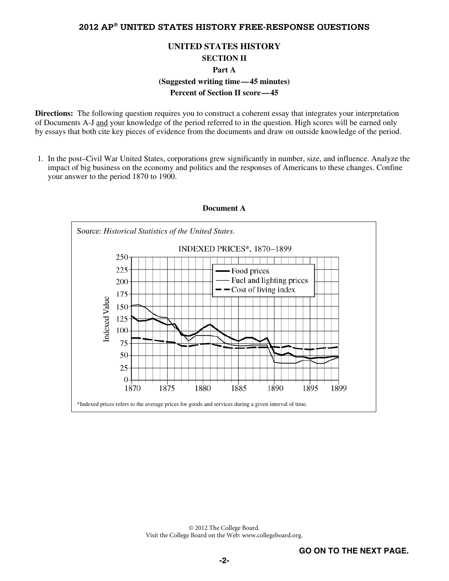## **UNITED STATES HISTORY SECTION II Part A (Suggested writing time—45 minutes) Percent of Section II score—45**

**Directions:** The following question requires you to construct a coherent essay that integrates your interpretation of Documents A-J and your knowledge of the period referred to in the question. High scores will be earned only by essays that both cite key pieces of evidence from the documents and draw on outside knowledge of the period.

 1. In the post–Civil War United States, corporations grew significantly in number, size, and influence. Analyze the impact of big business on the economy and politics and the responses of Americans to these changes. Confine your answer to the period 1870 to 1900.



#### **Document A**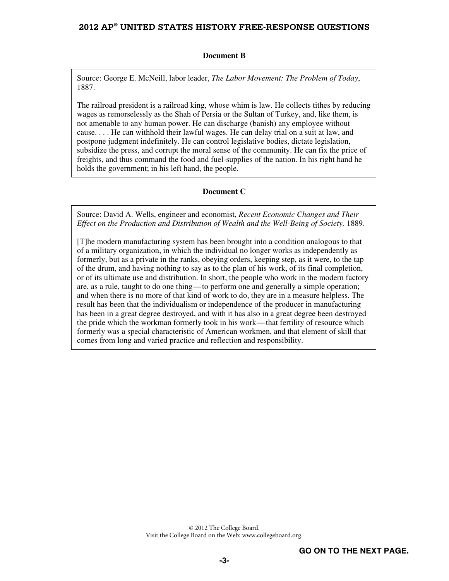#### **Document B**

Source: George E. McNeill, labor leader, *The Labor Movement: The Problem of Today*, 1887.

The railroad president is a railroad king, whose whim is law. He collects tithes by reducing wages as remorselessly as the Shah of Persia or the Sultan of Turkey, and, like them, is not amenable to any human power. He can discharge (banish) any employee without cause. . . . He can withhold their lawful wages. He can delay trial on a suit at law, and postpone judgment indefinitely. He can control legislative bodies, dictate legislation, subsidize the press, and corrupt the moral sense of the community. He can fix the price of freights, and thus command the food and fuel-supplies of the nation. In his right hand he holds the government; in his left hand, the people.

#### **Document C**

Source: David A. Wells, engineer and economist, *Recent Economic Changes and Their Effect on the Production and Distribution of Wealth and the Well-Being of Society, 1889.* 

[T]he modern manufacturing system has been brought into a condition analogous to that of a military organization, in which the individual no longer works as independently as formerly, but as a private in the ranks, obeying orders, keeping step, as it were, to the tap of the drum, and having nothing to say as to the plan of his work, of its final completion, or of its ultimate use and distribution. In short, the people who work in the modern factory are, as a rule, taught to do one thing—to perform one and generally a simple operation; and when there is no more of that kind of work to do, they are in a measure helpless. The result has been that the individualism or independence of the producer in manufacturing has been in a great degree destroyed, and with it has also in a great degree been destroyed the pride which the workman formerly took in his work—that fertility of resource which formerly was a special characteristic of American workmen, and that element of skill that comes from long and varied practice and reflection and responsibility.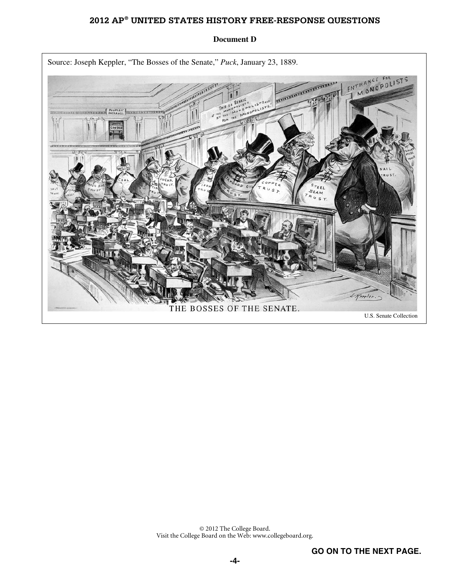

#### **Document D**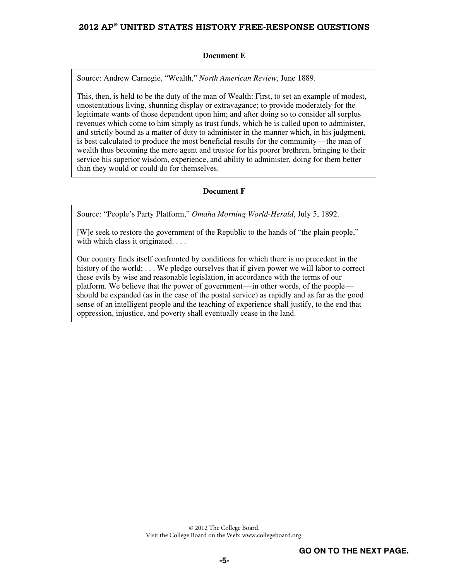#### **Document E**

Source: Andrew Carnegie, "Wealth," *North American Review*, June 1889.

This, then, is held to be the duty of the man of Wealth: First, to set an example of modest, unostentatious living, shunning display or extravagance; to provide moderately for the legitimate wants of those dependent upon him; and after doing so to consider all surplus revenues which come to him simply as trust funds, which he is called upon to administer, and strictly bound as a matter of duty to administer in the manner which, in his judgment, is best calculated to produce the most beneficial results for the community—the man of wealth thus becoming the mere agent and trustee for his poorer brethren, bringing to their service his superior wisdom, experience, and ability to administer, doing for them better than they would or could do for themselves.

#### **Document F**

Source: "People's Party Platform," *Omaha Morning World-Herald*, July 5, 1892.

[W]e seek to restore the government of the Republic to the hands of "the plain people," with which class it originated. . . .

Our country finds itself confronted by conditions for which there is no precedent in the history of the world; ... We pledge ourselves that if given power we will labor to correct these evils by wise and reasonable legislation, in accordance with the terms of our platform. We believe that the power of government—in other words, of the people should be expanded (as in the case of the postal service) as rapidly and as far as the good sense of an intelligent people and the teaching of experience shall justify, to the end that oppression, injustice, and poverty shall eventually cease in the land.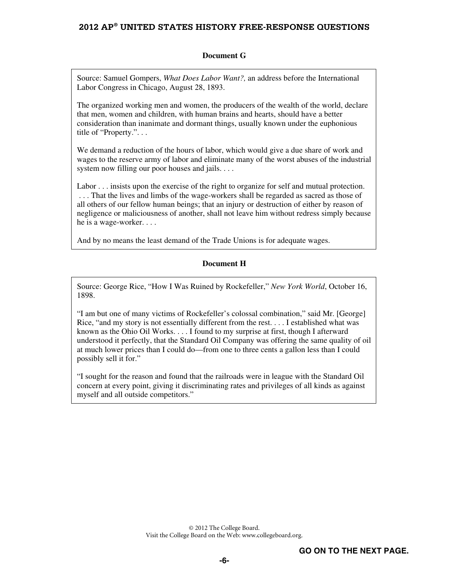#### **Document G**

Source: Samuel Gompers, *What Does Labor Want?,* an address before the International Labor Congress in Chicago, August 28, 1893.

The organized working men and women, the producers of the wealth of the world, declare that men, women and children, with human brains and hearts, should have a better consideration than inanimate and dormant things, usually known under the euphonious title of "Property.". . .

We demand a reduction of the hours of labor, which would give a due share of work and wages to the reserve army of labor and eliminate many of the worst abuses of the industrial system now filling our poor houses and jails. . . .

Labor . . . insists upon the exercise of the right to organize for self and mutual protection. . . . That the lives and limbs of the wage-workers shall be regarded as sacred as those of all others of our fellow human beings; that an injury or destruction of either by reason of negligence or maliciousness of another, shall not leave him without redress simply because he is a wage-worker. . . .

And by no means the least demand of the Trade Unions is for adequate wages.

#### **Document H**

Source: George Rice, "How I Was Ruined by Rockefeller," *New York World*, October 16, 1898.

"I am but one of many victims of Rockefeller's colossal combination," said Mr. [George] Rice, "and my story is not essentially different from the rest. . . . I established what was known as the Ohio Oil Works. . . . I found to my surprise at first, though I afterward understood it perfectly, that the Standard Oil Company was offering the same quality of oil at much lower prices than I could do—from one to three cents a gallon less than I could possibly sell it for."

"I sought for the reason and found that the railroads were in league with the Standard Oil concern at every point, giving it discriminating rates and privileges of all kinds as against myself and all outside competitors."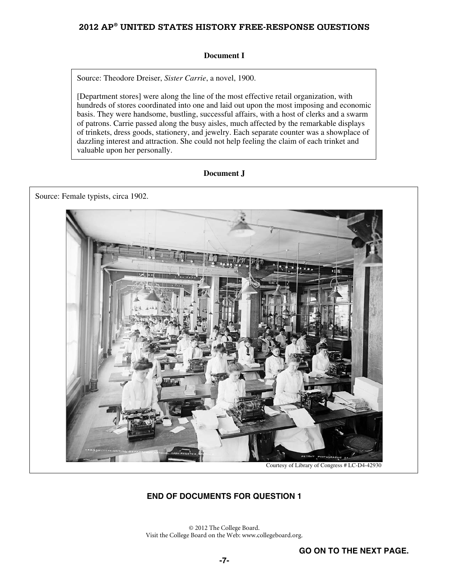#### **Document I**

Source: Theodore Dreiser, *Sister Carrie*, a novel, 1900.

[Department stores] were along the line of the most effective retail organization, with hundreds of stores coordinated into one and laid out upon the most imposing and economic basis. They were handsome, bustling, successful affairs, with a host of clerks and a swarm of patrons. Carrie passed along the busy aisles, much affected by the remarkable displays of trinkets, dress goods, stationery, and jewelry. Each separate counter was a showplace of dazzling interest and attraction. She could not help feeling the claim of each trinket and valuable upon her personally.

#### **Document J**

Source: Female typists, circa 1902.



Courtesy of Library of Congress # LC-D4-42930

#### **END OF DOCUMENTS FOR QUESTION 1**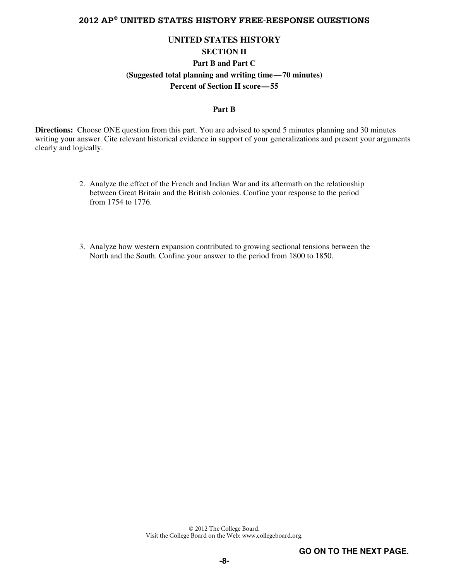## **UNITED STATES HISTORY SECTION II Part B and Part C (Suggested total planning and writing time—70 minutes) Percent of Section II score—55**

#### **Part B**

**Directions:** Choose ONE question from this part. You are advised to spend 5 minutes planning and 30 minutes writing your answer. Cite relevant historical evidence in support of your generalizations and present your arguments clearly and logically.

- 2. Analyze the effect of the French and Indian War and its aftermath on the relationship between Great Britain and the British colonies. Confine your response to the period from 1754 to 1776.
- 3. Analyze how western expansion contributed to growing sectional tensions between the North and the South. Confine your answer to the period from 1800 to 1850.